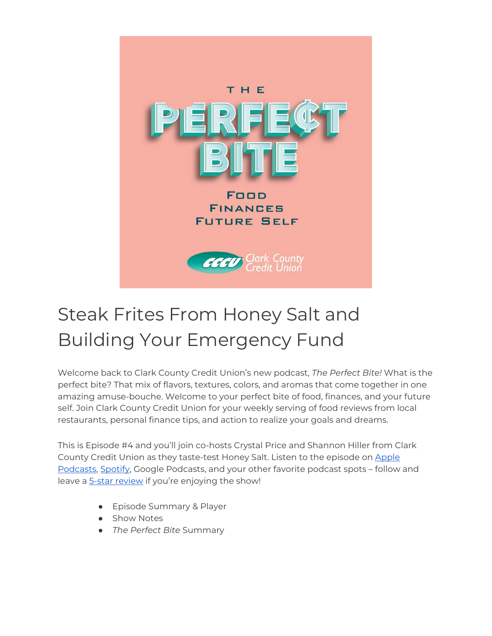

# Steak Frites From Honey Salt and Building Your Emergency Fund

Welcome back to Clark County Credit Union's new podcast, *The Perfect Bite!* What is the perfect bite? That mix of flavors, textures, colors, and aromas that come together in one amazing amuse-bouche. Welcome to your perfect bite of food, finances, and your future self. Join Clark County Credit Union for your weekly serving of food reviews from local restaurants, personal finance tips, and action to realize your goals and dreams.

This is Episode #4 and you'll join co-hosts Crystal Price and Shannon Hiller from Clark County Credit Union as they taste-test Honey Salt. Listen to the episode on [Apple](https://podcasts.apple.com/us/podcast/the-perfect-bite/id1604656448)  [Podcasts,](https://podcasts.apple.com/us/podcast/the-perfect-bite/id1604656448) [Spotify,](https://open.spotify.com/show/7tNPJZBNHabGWEFmjnHaxR?si=a0a7808911264628) Google Podcasts, and your other favorite podcast spots – follow and leave a [5-star review](https://podcasts.apple.com/us/podcast/the-perfect-bite/id1604656448) if you're enjoying the show!

- Episode Summary & Player
- Show Notes
- *The Perfect Bite* Summary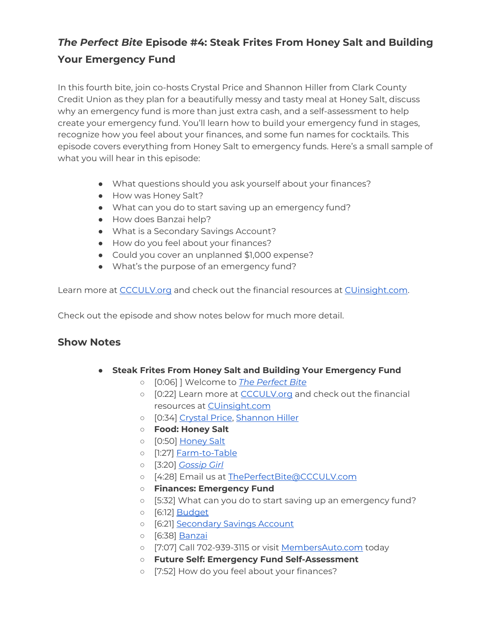# *The Perfect Bite* **Episode #4: Steak Frites From Honey Salt and Building Your Emergency Fund**

In this fourth bite, join co-hosts Crystal Price and Shannon Hiller from Clark County Credit Union as they plan for a beautifully messy and tasty meal at Honey Salt, discuss why an emergency fund is more than just extra cash, and a self-assessment to help create your emergency fund. You'll learn how to build your emergency fund in stages, recognize how you feel about your finances, and some fun names for cocktails. This episode covers everything from Honey Salt to emergency funds. Here's a small sample of what you will hear in this episode:

- What questions should you ask yourself about your finances?
- How was Honey Salt?
- What can you do to start saving up an emergency fund?
- How does Banzai help?
- What is a Secondary Savings Account?
- How do you feel about your finances?
- Could you cover an unplanned \$1,000 expense?
- What's the purpose of an emergency fund?

Learn more at [CCCULV.org](https://www.ccculv.org/) and check out the financial resources at [CUinsight.com.](https://www.cuinsight.com/)

Check out the episode and show notes below for much more detail.

#### **Show Notes**

- **Steak Frites From Honey Salt and Building Your Emergency Fund**
	- [0:06] ] Welcome to *[The Perfect Bite](https://www.ccculv.org/)*
	- [0:22] Learn more at [CCCULV.org](https://www.ccculv.org/) and check out the financial resources at [CUinsight.com](https://www.cuinsight.com/)
	- [0:34] [Crystal Price, Shannon Hiller](https://www.ccculv.org/Our-Mission.aspx)
	- **Food: Honey Salt**
	- o [0:50] [Honey Salt](https://honeysalt.com/)
	- [1:27] [Farm-to-Table](https://en.wikipedia.org/wiki/Farm-to-table)
	- [3:20] *[Gossip Girl](https://www.imdb.com/title/tt0397442/)*
	- [4:28] Email us at [ThePerfectBite@CCCULV.com](mailto:ThePerfectBite@CCCULV.org)
	- **Finances: Emergency Fund**
	- [5:32] What can you do to start saving up an emergency fund?
	- [6:12] [Budget](https://www.ccculv.org/)
	- o [6:21] [Secondary Savings Account](https://www.ccculv.org/Savings-Accounts.aspx)
	- [6:38] [Banzai](https://ccculv.teachbanzai.com/wellness)
	- o [7:07] Call 702-939-3115 or visit [MembersAuto.com](https://www.membersauto.com/) today
	- **Future Self: Emergency Fund Self-Assessment**
	- [7:52] How do you feel about your finances?